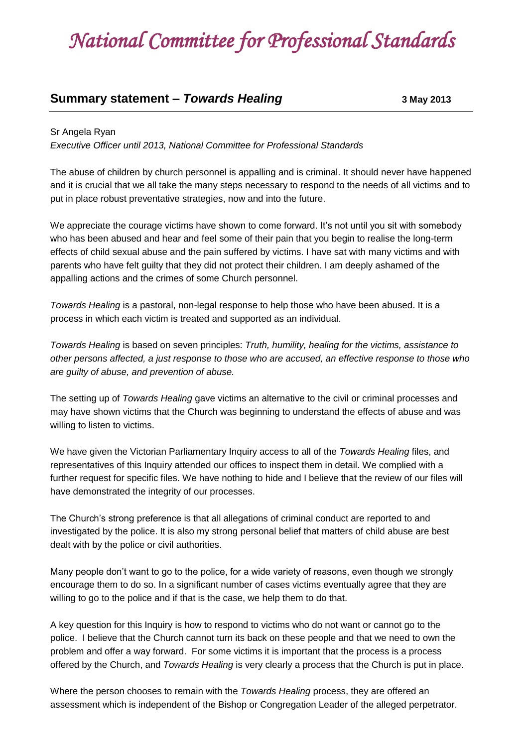## *National Committee for Professional Standards*

## **Summary statement –** *Towards Healing* **<b>3 May 2013**

## Sr Angela Ryan

*Executive Officer until 2013, National Committee for Professional Standards*

The abuse of children by church personnel is appalling and is criminal. It should never have happened and it is crucial that we all take the many steps necessary to respond to the needs of all victims and to put in place robust preventative strategies, now and into the future.

We appreciate the courage victims have shown to come forward. It's not until you sit with somebody who has been abused and hear and feel some of their pain that you begin to realise the long-term effects of child sexual abuse and the pain suffered by victims. I have sat with many victims and with parents who have felt guilty that they did not protect their children. I am deeply ashamed of the appalling actions and the crimes of some Church personnel.

*Towards Healing* is a pastoral, non-legal response to help those who have been abused. It is a process in which each victim is treated and supported as an individual.

*Towards Healing* is based on seven principles: *Truth, humility, healing for the victims, assistance to other persons affected, a just response to those who are accused, an effective response to those who are guilty of abuse, and prevention of abuse.*

The setting up of *Towards Healing* gave victims an alternative to the civil or criminal processes and may have shown victims that the Church was beginning to understand the effects of abuse and was willing to listen to victims.

We have given the Victorian Parliamentary Inquiry access to all of the *Towards Healing* files, and representatives of this Inquiry attended our offices to inspect them in detail. We complied with a further request for specific files. We have nothing to hide and I believe that the review of our files will have demonstrated the integrity of our processes.

The Church's strong preference is that all allegations of criminal conduct are reported to and investigated by the police. It is also my strong personal belief that matters of child abuse are best dealt with by the police or civil authorities.

Many people don't want to go to the police, for a wide variety of reasons, even though we strongly encourage them to do so. In a significant number of cases victims eventually agree that they are willing to go to the police and if that is the case, we help them to do that.

A key question for this Inquiry is how to respond to victims who do not want or cannot go to the police. I believe that the Church cannot turn its back on these people and that we need to own the problem and offer a way forward. For some victims it is important that the process is a process offered by the Church, and *Towards Healing* is very clearly a process that the Church is put in place.

Where the person chooses to remain with the *Towards Healing* process, they are offered an assessment which is independent of the Bishop or Congregation Leader of the alleged perpetrator.